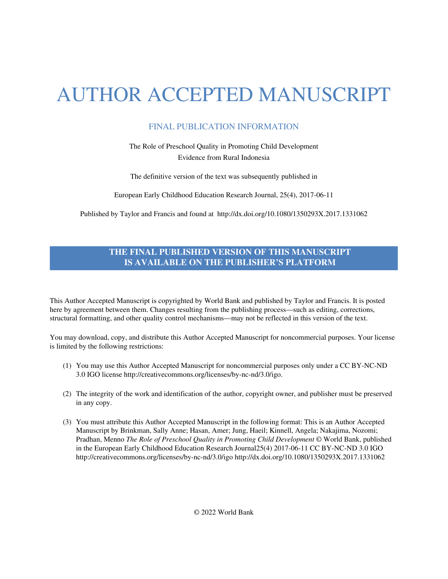# AUTHOR ACCEPTED MANUSCRIPT

# FINAL PUBLICATION INFORMATION

The Role of Preschool Quality in Promoting Child Development Evidence from Rural Indonesia

The definitive version of the text was subsequently published in

European Early Childhood Education Research Journal, 25(4), 2017-06-11

Published by Taylor and Francis and found at <http://dx.doi.org/10.1080/1350293X.2017.1331062>

# **THE FINAL PUBLISHED VERSION OF THIS MANUSCRIPT IS AVAILABLE ON THE PUBLISHER'S PLATFORM**

This Author Accepted Manuscript is copyrighted by World Bank and published by Taylor and Francis. It is posted here by agreement between them. Changes resulting from the publishing process—such as editing, corrections, structural formatting, and other quality control mechanisms—may not be reflected in this version of the text.

You may download, copy, and distribute this Author Accepted Manuscript for noncommercial purposes. Your license is limited by the following restrictions:

- (1) You may use this Author Accepted Manuscript for noncommercial purposes only under a CC BY-NC-ND 3.0 IGO licens[e http://creativecommons.org/licenses/by-nc-nd/3.0/igo.](http://creativecommons.org/licenses/by-nc-nd/3.0/igo)
- (2) The integrity of the work and identification of the author, copyright owner, and publisher must be preserved in any copy.
- (3) You must attribute this Author Accepted Manuscript in the following format: This is an Author Accepted Manuscript by Brinkman, Sally Anne; Hasan, Amer; Jung, Haeil; Kinnell, Angela; Nakajima, Nozomi; Pradhan, Menno *The Role of Preschool Quality in Promoting Child Development* © World Bank, published in the European Early Childhood Education Research Journal25(4) 2017-06-11 [CC BY-NC-ND 3.0 IGO](http://creativecommons.org/licenses/by-nc-nd/3.0/igo) <http://creativecommons.org/licenses/by-nc-nd/3.0/igo><http://dx.doi.org/10.1080/1350293X.2017.1331062>

© 2022 World Bank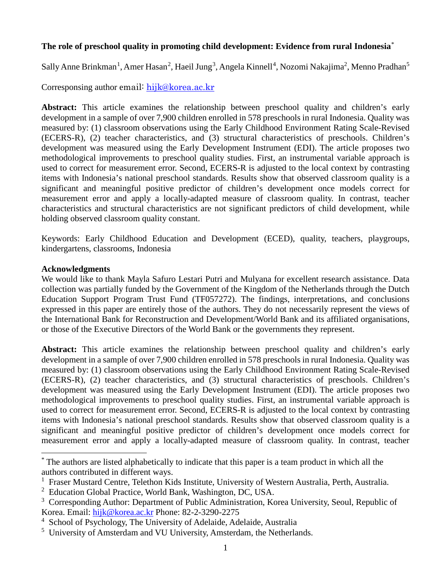# **The role of preschool quality in promoting child development: Evidence from rural Indonesia**[\\*](#page-1-0)

Sally Anne Brinkman<sup>[1](#page-1-1)</sup>, Amer Hasan<sup>[2](#page-1-2)</sup>, Haeil Jung<sup>[3](#page-1-3)</sup>, Angela Kinnell<sup>[4](#page-1-4)</sup>, Nozomi Nakajima<sup>2</sup>, Menno Pradhan<sup>[5](#page-1-5)</sup>

Corresponsing author email: [hijk@korea.ac.kr](mailto:hijk@korea.ac.kr)

**Abstract:** This article examines the relationship between preschool quality and children's early development in a sample of over 7,900 children enrolled in 578 preschools in rural Indonesia. Quality was measured by: (1) classroom observations using the Early Childhood Environment Rating Scale-Revised (ECERS-R), (2) teacher characteristics, and (3) structural characteristics of preschools. Children's development was measured using the Early Development Instrument (EDI). The article proposes two methodological improvements to preschool quality studies. First, an instrumental variable approach is used to correct for measurement error. Second, ECERS-R is adjusted to the local context by contrasting items with Indonesia's national preschool standards. Results show that observed classroom quality is a significant and meaningful positive predictor of children's development once models correct for measurement error and apply a locally-adapted measure of classroom quality. In contrast, teacher characteristics and structural characteristics are not significant predictors of child development, while holding observed classroom quality constant.

Keywords: Early Childhood Education and Development (ECED), quality, teachers, playgroups, kindergartens, classrooms, Indonesia

# **Acknowledgments**

 $\overline{a}$ 

We would like to thank Mayla Safuro Lestari Putri and Mulyana for excellent research assistance. Data collection was partially funded by the Government of the Kingdom of the Netherlands through the Dutch Education Support Program Trust Fund (TF057272). The findings, interpretations, and conclusions expressed in this paper are entirely those of the authors. They do not necessarily represent the views of the International Bank for Reconstruction and Development/World Bank and its affiliated organisations, or those of the Executive Directors of the World Bank or the governments they represent.

**Abstract:** This article examines the relationship between preschool quality and children's early development in a sample of over 7,900 children enrolled in 578 preschools in rural Indonesia. Quality was measured by: (1) classroom observations using the Early Childhood Environment Rating Scale-Revised (ECERS-R), (2) teacher characteristics, and (3) structural characteristics of preschools. Children's development was measured using the Early Development Instrument (EDI). The article proposes two methodological improvements to preschool quality studies. First, an instrumental variable approach is used to correct for measurement error. Second, ECERS-R is adjusted to the local context by contrasting items with Indonesia's national preschool standards. Results show that observed classroom quality is a significant and meaningful positive predictor of children's development once models correct for measurement error and apply a locally-adapted measure of classroom quality. In contrast, teacher

<span id="page-1-0"></span><sup>\*</sup> The authors are listed alphabetically to indicate that this paper is a team product in which all the authors contributed in different ways.

<span id="page-1-1"></span><sup>&</sup>lt;sup>1</sup> Fraser Mustard Centre, Telethon Kids Institute, University of Western Australia, Perth, Australia.

<span id="page-1-2"></span><sup>2</sup> Education Global Practice, World Bank, Washington, DC, USA.

<span id="page-1-3"></span><sup>&</sup>lt;sup>3</sup> Corresponding Author: Department of Public Administration, Korea University, Seoul, Republic of Korea. Email: [hijk@korea.ac.kr](mailto:hijk@korea.ac.kr) Phone: 82-2-3290-2275

<span id="page-1-4"></span><sup>4</sup> School of Psychology, The University of Adelaide, Adelaide, Australia

<span id="page-1-5"></span><sup>5</sup> University of Amsterdam and VU University, Amsterdam, the Netherlands.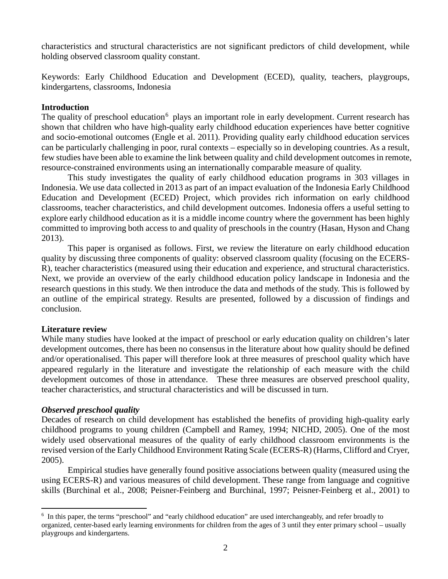characteristics and structural characteristics are not significant predictors of child development, while holding observed classroom quality constant.

Keywords: Early Childhood Education and Development (ECED), quality, teachers, playgroups, kindergartens, classrooms, Indonesia

# **Introduction**

The quality of preschool education<sup>[6](#page-2-0)</sup> plays an important role in early development. Current research has shown that children who have high-quality early childhood education experiences have better cognitive and socio-emotional outcomes (Engle et al. 2011). Providing quality early childhood education services can be particularly challenging in poor, rural contexts – especially so in developing countries. As a result, few studies have been able to examine the link between quality and child development outcomes in remote, resource-constrained environments using an internationally comparable measure of quality.

This study investigates the quality of early childhood education programs in 303 villages in Indonesia. We use data collected in 2013 as part of an impact evaluation of the Indonesia Early Childhood Education and Development (ECED) Project, which provides rich information on early childhood classrooms, teacher characteristics, and child development outcomes. Indonesia offers a useful setting to explore early childhood education as it is a middle income country where the government has been highly committed to improving both access to and quality of preschools in the country (Hasan, Hyson and Chang 2013).

This paper is organised as follows. First, we review the literature on early childhood education quality by discussing three components of quality: observed classroom quality (focusing on the ECERS-R), teacher characteristics (measured using their education and experience, and structural characteristics. Next, we provide an overview of the early childhood education policy landscape in Indonesia and the research questions in this study. We then introduce the data and methods of the study. This is followed by an outline of the empirical strategy. Results are presented, followed by a discussion of findings and conclusion.

# **Literature review**

 $\overline{a}$ 

While many studies have looked at the impact of preschool or early education quality on children's later development outcomes, there has been no consensus in the literature about how quality should be defined and/or operationalised. This paper will therefore look at three measures of preschool quality which have appeared regularly in the literature and investigate the relationship of each measure with the child development outcomes of those in attendance. These three measures are observed preschool quality, teacher characteristics, and structural characteristics and will be discussed in turn.

# *Observed preschool quality*

Decades of research on child development has established the benefits of providing high-quality early childhood programs to young children (Campbell and Ramey, 1994; NICHD, 2005). One of the most widely used observational measures of the quality of early childhood classroom environments is the revised version of the Early Childhood Environment Rating Scale (ECERS-R) (Harms, Clifford and Cryer, 2005).

Empirical studies have generally found positive associations between quality (measured using the using ECERS-R) and various measures of child development. These range from language and cognitive skills (Burchinal et al., 2008; Peisner-Feinberg and Burchinal, 1997; Peisner-Feinberg et al., 2001) to

<span id="page-2-0"></span><sup>6</sup> In this paper, the terms "preschool" and "early childhood education" are used interchangeably, and refer broadly to organized, center-based early learning environments for children from the ages of 3 until they enter primary school – usually playgroups and kindergartens.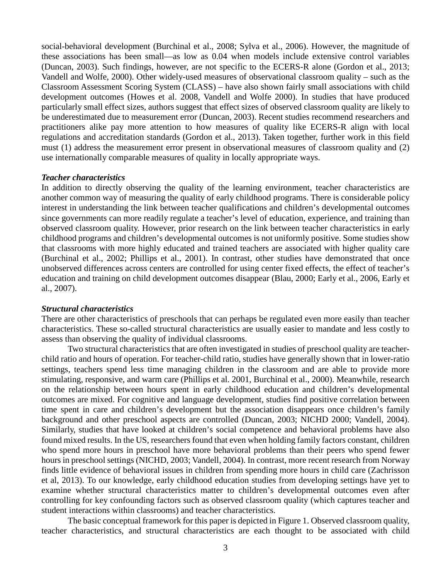social-behavioral development (Burchinal et al., 2008; Sylva et al., 2006). However, the magnitude of these associations has been small—as low as 0.04 when models include extensive control variables (Duncan, 2003). Such findings, however, are not specific to the ECERS-R alone (Gordon et al., 2013; Vandell and Wolfe, 2000). Other widely-used measures of observational classroom quality – such as the Classroom Assessment Scoring System (CLASS) – have also shown fairly small associations with child development outcomes (Howes et al. 2008, Vandell and Wolfe 2000). In studies that have produced particularly small effect sizes, authors suggest that effect sizes of observed classroom quality are likely to be underestimated due to measurement error (Duncan, 2003). Recent studies recommend researchers and practitioners alike pay more attention to how measures of quality like ECERS-R align with local regulations and accreditation standards (Gordon et al., 2013). Taken together, further work in this field must (1) address the measurement error present in observational measures of classroom quality and (2) use internationally comparable measures of quality in locally appropriate ways.

## *Teacher characteristics*

In addition to directly observing the quality of the learning environment, teacher characteristics are another common way of measuring the quality of early childhood programs. There is considerable policy interest in understanding the link between teacher qualifications and children's developmental outcomes since governments can more readily regulate a teacher's level of education, experience, and training than observed classroom quality. However, prior research on the link between teacher characteristics in early childhood programs and children's developmental outcomes is not uniformly positive. Some studies show that classrooms with more highly educated and trained teachers are associated with higher quality care (Burchinal et al., 2002; Phillips et al., 2001). In contrast, other studies have demonstrated that once unobserved differences across centers are controlled for using center fixed effects, the effect of teacher's education and training on child development outcomes disappear (Blau, 2000; Early et al., 2006, Early et al., 2007).

## *Structural characteristics*

There are other characteristics of preschools that can perhaps be regulated even more easily than teacher characteristics. These so-called structural characteristics are usually easier to mandate and less costly to assess than observing the quality of individual classrooms.

Two structural characteristics that are often investigated in studies of preschool quality are teacherchild ratio and hours of operation. For teacher-child ratio, studies have generally shown that in lower-ratio settings, teachers spend less time managing children in the classroom and are able to provide more stimulating, responsive, and warm care (Phillips et al. 2001, Burchinal et al., 2000). Meanwhile, research on the relationship between hours spent in early childhood education and children's developmental outcomes are mixed. For cognitive and language development, studies find positive correlation between time spent in care and children's development but the association disappears once children's family background and other preschool aspects are controlled (Duncan, 2003; NICHD 2000; Vandell, 2004). Similarly, studies that have looked at children's social competence and behavioral problems have also found mixed results. In the US, researchers found that even when holding family factors constant, children who spend more hours in preschool have more behavioral problems than their peers who spend fewer hours in preschool settings (NICHD, 2003; Vandell, 2004). In contrast, more recent research from Norway finds little evidence of behavioral issues in children from spending more hours in child care (Zachrisson et al, 2013). To our knowledge, early childhood education studies from developing settings have yet to examine whether structural characteristics matter to children's developmental outcomes even after controlling for key confounding factors such as observed classroom quality (which captures teacher and student interactions within classrooms) and teacher characteristics.

The basic conceptual framework for this paper is depicted in Figure 1. Observed classroom quality, teacher characteristics, and structural characteristics are each thought to be associated with child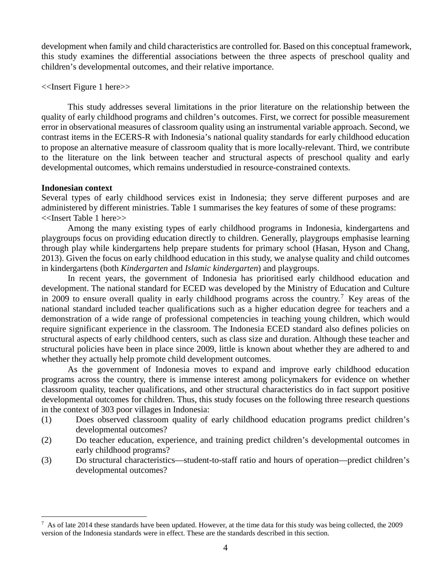development when family and child characteristics are controlled for. Based on this conceptual framework, this study examines the differential associations between the three aspects of preschool quality and children's developmental outcomes, and their relative importance.

<<Insert Figure 1 here>>

This study addresses several limitations in the prior literature on the relationship between the quality of early childhood programs and children's outcomes. First, we correct for possible measurement error in observational measures of classroom quality using an instrumental variable approach. Second, we contrast items in the ECERS-R with Indonesia's national quality standards for early childhood education to propose an alternative measure of classroom quality that is more locally-relevant. Third, we contribute to the literature on the link between teacher and structural aspects of preschool quality and early developmental outcomes, which remains understudied in resource-constrained contexts.

# **Indonesian context**

 $\overline{a}$ 

Several types of early childhood services exist in Indonesia; they serve different purposes and are administered by different ministries. Table 1 summarises the key features of some of these programs: <<Insert Table 1 here>>

Among the many existing types of early childhood programs in Indonesia, kindergartens and playgroups focus on providing education directly to children. Generally, playgroups emphasise learning through play while kindergartens help prepare students for primary school (Hasan, Hyson and Chang, 2013). Given the focus on early childhood education in this study, we analyse quality and child outcomes in kindergartens (both *Kindergarten* and *Islamic kindergarten*) and playgroups.

In recent years, the government of Indonesia has prioritised early childhood education and development. The national standard for ECED was developed by the Ministry of Education and Culture in 2009 to ensure overall quality in early childhood programs across the country.<sup>[7](#page-4-0)</sup> Key areas of the national standard included teacher qualifications such as a higher education degree for teachers and a demonstration of a wide range of professional competencies in teaching young children, which would require significant experience in the classroom. The Indonesia ECED standard also defines policies on structural aspects of early childhood centers, such as class size and duration. Although these teacher and structural policies have been in place since 2009, little is known about whether they are adhered to and whether they actually help promote child development outcomes.

As the government of Indonesia moves to expand and improve early childhood education programs across the country, there is immense interest among policymakers for evidence on whether classroom quality, teacher qualifications, and other structural characteristics do in fact support positive developmental outcomes for children. Thus, this study focuses on the following three research questions in the context of 303 poor villages in Indonesia:

- (1) Does observed classroom quality of early childhood education programs predict children's developmental outcomes?
- (2) Do teacher education, experience, and training predict children's developmental outcomes in early childhood programs?
- (3) Do structural characteristics—student-to-staff ratio and hours of operation—predict children's developmental outcomes?

<span id="page-4-0"></span> $^7$  As of late 2014 these standards have been updated. However, at the time data for this study was being collected, the 2009 version of the Indonesia standards were in effect. These are the standards described in this section.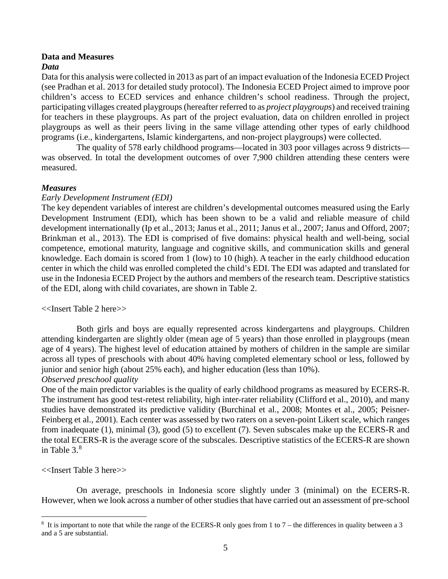# **Data and Measures**

# *Data*

Data for this analysis were collected in 2013 as part of an impact evaluation of the Indonesia ECED Project (see Pradhan et al. 2013 for detailed study protocol). The Indonesia ECED Project aimed to improve poor children's access to ECED services and enhance children's school readiness. Through the project, participating villages created playgroups (hereafter referred to as *project playgroups*) and received training for teachers in these playgroups. As part of the project evaluation, data on children enrolled in project playgroups as well as their peers living in the same village attending other types of early childhood programs (i.e., kindergartens, Islamic kindergartens, and non-project playgroups) were collected.

The quality of 578 early childhood programs—located in 303 poor villages across 9 districts was observed. In total the development outcomes of over 7,900 children attending these centers were measured.

# *Measures*

# *Early Development Instrument (EDI)*

The key dependent variables of interest are children's developmental outcomes measured using the Early Development Instrument (EDI), which has been shown to be a valid and reliable measure of child development internationally (Ip et al., 2013; Janus et al., 2011; Janus et al., 2007; Janus and Offord, 2007; Brinkman et al., 2013). The EDI is comprised of five domains: physical health and well-being, social competence, emotional maturity, language and cognitive skills, and communication skills and general knowledge. Each domain is scored from 1 (low) to 10 (high). A teacher in the early childhood education center in which the child was enrolled completed the child's EDI. The EDI was adapted and translated for use in the Indonesia ECED Project by the authors and members of the research team. Descriptive statistics of the EDI, along with child covariates, are shown in Table 2.

<<Insert Table 2 here>>

Both girls and boys are equally represented across kindergartens and playgroups. Children attending kindergarten are slightly older (mean age of 5 years) than those enrolled in playgroups (mean age of 4 years). The highest level of education attained by mothers of children in the sample are similar across all types of preschools with about 40% having completed elementary school or less, followed by junior and senior high (about 25% each), and higher education (less than 10%).

## *Observed preschool quality*

One of the main predictor variables is the quality of early childhood programs as measured by ECERS-R. The instrument has good test-retest reliability, high inter-rater reliability (Clifford et al., 2010), and many studies have demonstrated its predictive validity (Burchinal et al., 2008; Montes et al., 2005; Peisner-Feinberg et al., 2001). Each center was assessed by two raters on a seven-point Likert scale, which ranges from inadequate (1), minimal (3), good (5) to excellent (7). Seven subscales make up the ECERS-R and the total ECERS-R is the average score of the subscales. Descriptive statistics of the ECERS-R are shown in Table 3. [8](#page-5-0)

# <<Insert Table 3 here>>

 $\overline{a}$ 

On average, preschools in Indonesia score slightly under 3 (minimal) on the ECERS-R. However, when we look across a number of other studies that have carried out an assessment of pre-school

<span id="page-5-0"></span> $8\,$  It is important to note that while the range of the ECERS-R only goes from 1 to 7 – the differences in quality between a 3 and a 5 are substantial.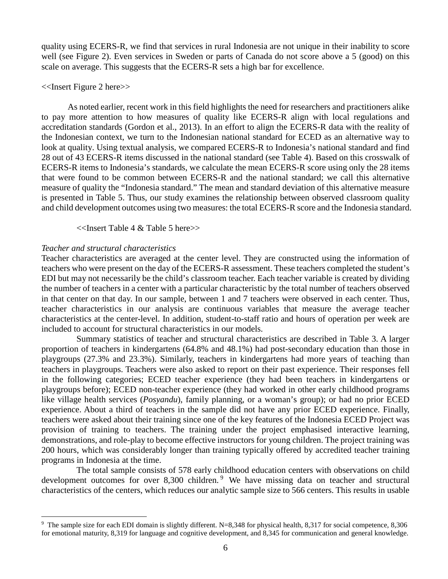quality using ECERS-R, we find that services in rural Indonesia are not unique in their inability to score well (see Figure 2). Even services in Sweden or parts of Canada do not score above a 5 (good) on this scale on average. This suggests that the ECERS-R sets a high bar for excellence.

# <<Insert Figure 2 here>>

As noted earlier, recent work in this field highlights the need for researchers and practitioners alike to pay more attention to how measures of quality like ECERS-R align with local regulations and accreditation standards (Gordon et al., 2013). In an effort to align the ECERS-R data with the reality of the Indonesian context, we turn to the Indonesian national standard for ECED as an alternative way to look at quality. Using textual analysis, we compared ECERS-R to Indonesia's national standard and find 28 out of 43 ECERS-R items discussed in the national standard (see Table 4). Based on this crosswalk of ECERS-R items to Indonesia's standards, we calculate the mean ECERS-R score using only the 28 items that were found to be common between ECERS-R and the national standard; we call this alternative measure of quality the "Indonesia standard." The mean and standard deviation of this alternative measure is presented in Table 5. Thus, our study examines the relationship between observed classroom quality and child development outcomes using two measures: the total ECERS-R score and the Indonesia standard.

<<Insert Table 4 & Table 5 here>>

# *Teacher and structural characteristics*

 $\overline{a}$ 

Teacher characteristics are averaged at the center level. They are constructed using the information of teachers who were present on the day of the ECERS-R assessment. These teachers completed the student's EDI but may not necessarily be the child's classroom teacher. Each teacher variable is created by dividing the number of teachers in a center with a particular characteristic by the total number of teachers observed in that center on that day. In our sample, between 1 and 7 teachers were observed in each center. Thus, teacher characteristics in our analysis are continuous variables that measure the average teacher characteristics at the center-level. In addition, student-to-staff ratio and hours of operation per week are included to account for structural characteristics in our models.

Summary statistics of teacher and structural characteristics are described in Table 3. A larger proportion of teachers in kindergartens (64.8% and 48.1%) had post-secondary education than those in playgroups (27.3% and 23.3%). Similarly, teachers in kindergartens had more years of teaching than teachers in playgroups. Teachers were also asked to report on their past experience. Their responses fell in the following categories; ECED teacher experience (they had been teachers in kindergartens or playgroups before); ECED non-teacher experience (they had worked in other early childhood programs like village health services (*Posyandu*), family planning, or a woman's group); or had no prior ECED experience. About a third of teachers in the sample did not have any prior ECED experience. Finally, teachers were asked about their training since one of the key features of the Indonesia ECED Project was provision of training to teachers. The training under the project emphasised interactive learning, demonstrations, and role-play to become effective instructors for young children. The project training was 200 hours, which was considerably longer than training typically offered by accredited teacher training programs in Indonesia at the time.

The total sample consists of 578 early childhood education centers with observations on child development outcomes for over 8,300 children.<sup>[9](#page-6-0)</sup> We have missing data on teacher and structural characteristics of the centers, which reduces our analytic sample size to 566 centers. This results in usable

<span id="page-6-0"></span><sup>9</sup> The sample size for each EDI domain is slightly different. N=8,348 for physical health, 8,317 for social competence, 8,306 for emotional maturity, 8,319 for language and cognitive development, and 8,345 for communication and general knowledge.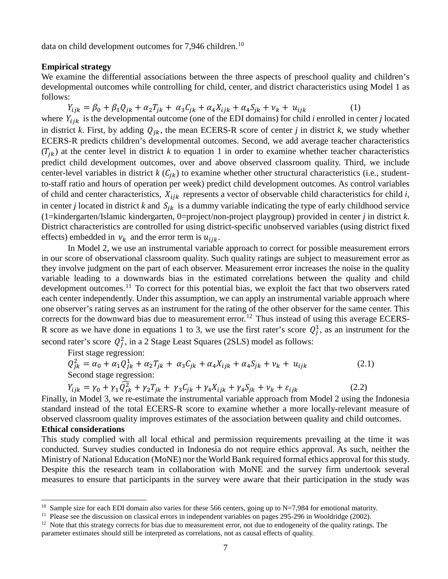data on child development outcomes for 7,946 children.<sup>[10](#page-7-0)</sup>

#### **Empirical strategy**

We examine the differential associations between the three aspects of preschool quality and children's developmental outcomes while controlling for child, center, and district characteristics using Model 1 as follows:

 $Y_{ijk} = \beta_0 + \beta_1 Q_{jk} + \alpha_2 T_{jk} + \alpha_3 C_{jk} + \alpha_4 X_{ijk} + \alpha_4 S_{jk} + \nu_k + u_{ijk}$  (1) where  $Y_{ijk}$  is the developmental outcome (one of the EDI domains) for child *i* enrolled in center *j* located in district *k*. First, by adding  $Q_{jk}$ , the mean ECERS-R score of center *j* in district *k*, we study whether ECERS-R predicts children's developmental outcomes. Second, we add average teacher characteristics  $(T_{ik})$  at the center level in district k to equation 1 in order to examine whether teacher characteristics predict child development outcomes, over and above observed classroom quality. Third, we include center-level variables in district  $k$  ( $C_{ik}$ ) to examine whether other structural characteristics (i.e., studentto-staff ratio and hours of operation per week) predict child development outcomes. As control variables of child and center characteristics,  $X_{ijk}$  represents a vector of observable child characteristics for child *i*, in center *j* located in district *k* and  $S_{jk}$  is a dummy variable indicating the type of early childhood service (1=kindergarten/Islamic kindergarten, 0=project/non-project playgroup) provided in center *j* in district *k*. District characteristics are controlled for using district-specific unobserved variables (using district fixed effects) embedded in  $v_k$  and the error term is  $u_{ijk}$ .

In Model 2, we use an instrumental variable approach to correct for possible measurement errors in our score of observational classroom quality. Such quality ratings are subject to measurement error as they involve judgment on the part of each observer. Measurement error increases the noise in the quality variable leading to a downwards bias in the estimated correlations between the quality and child development outcomes.<sup>[11](#page-7-1)</sup> To correct for this potential bias, we exploit the fact that two observers rated each center independently. Under this assumption, we can apply an instrumental variable approach where one observer's rating serves as an instrument for the rating of the other observer for the same center. This corrects for the downward bias due to measurement error.<sup>[12](#page-7-2)</sup> Thus instead of using this average ECERS-R score as we have done in equations 1 to 3, we use the first rater's score  $Q_j^1$ , as an instrument for the second rater's score  $Q_i^2$ , in a 2 Stage Least Squares (2SLS) model as follows:

First stage regression:

$$
Q_{jk}^2 = \alpha_0 + \alpha_1 Q_{jk}^1 + \alpha_2 T_{jk} + \alpha_3 C_{jk} + \alpha_4 X_{ijk} + \alpha_4 S_{jk} + \nu_k + u_{ijk}
$$
 (2.1)  
Second stage regression:

$$
Y_{ijk} = \gamma_0 + \gamma_1 \tilde{Q}_{jk}^2 + \gamma_2 T_{jk} + \gamma_3 C_{jk} + \gamma_4 X_{ijk} + \gamma_4 S_{jk} + \nu_k + \varepsilon_{ijk}
$$
(2.2)

Finally, in Model 3, we re-estimate the instrumental variable approach from Model 2 using the Indonesia standard instead of the total ECERS-R score to examine whether a more locally-relevant measure of observed classroom quality improves estimates of the association between quality and child outcomes.

#### **Ethical considerations**

 $\overline{a}$ 

This study complied with all local ethical and permission requirements prevailing at the time it was conducted. Survey studies conducted in Indonesia do not require ethics approval. As such, neither the Ministry of National Education (MoNE) nor the World Bank required formal ethics approval for this study. Despite this the research team in collaboration with MoNE and the survey firm undertook several measures to ensure that participants in the survey were aware that their participation in the study was

<span id="page-7-0"></span><sup>&</sup>lt;sup>10</sup> Sample size for each EDI domain also varies for these 566 centers, going up to N=7,984 for emotional maturity.

<span id="page-7-1"></span><sup>&</sup>lt;sup>11</sup> Please see the discussion on classical errors in independent variables on pages 295-296 in Wooldridge (2002).

<span id="page-7-2"></span> $12$  Note that this strategy corrects for bias due to measurement error, not due to endogeneity of the quality ratings. The parameter estimates should still be interpreted as correlations, not as causal effects of quality.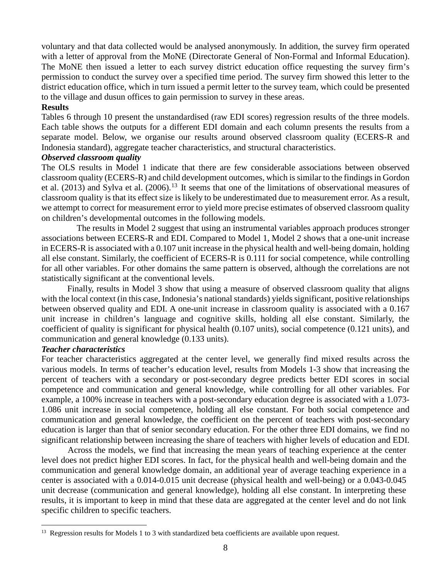voluntary and that data collected would be analysed anonymously. In addition, the survey firm operated with a letter of approval from the MoNE (Directorate General of Non-Formal and Informal Education). The MoNE then issued a letter to each survey district education office requesting the survey firm's permission to conduct the survey over a specified time period. The survey firm showed this letter to the district education office, which in turn issued a permit letter to the survey team, which could be presented to the village and dusun offices to gain permission to survey in these areas.

#### **Results**

Tables 6 through 10 present the unstandardised (raw EDI scores) regression results of the three models. Each table shows the outputs for a different EDI domain and each column presents the results from a separate model. Below, we organise our results around observed classroom quality (ECERS-R and Indonesia standard), aggregate teacher characteristics, and structural characteristics.

## *Observed classroom quality*

The OLS results in Model 1 indicate that there are few considerable associations between observed classroom quality (ECERS-R) and child development outcomes, which is similar to the findings in Gordon et al. (20[13](#page-8-0)) and Sylva et al. (2006).<sup>13</sup> It seems that one of the limitations of observational measures of classroom quality is that its effect size is likely to be underestimated due to measurement error. As a result, we attempt to correct for measurement error to yield more precise estimates of observed classroom quality on children's developmental outcomes in the following models.

The results in Model 2 suggest that using an instrumental variables approach produces stronger associations between ECERS-R and EDI. Compared to Model 1, Model 2 shows that a one-unit increase in ECERS-R is associated with a 0.107 unit increase in the physical health and well-being domain, holding all else constant. Similarly, the coefficient of ECERS-R is 0.111 for social competence, while controlling for all other variables. For other domains the same pattern is observed, although the correlations are not statistically significant at the conventional levels.

Finally, results in Model 3 show that using a measure of observed classroom quality that aligns with the local context (in this case, Indonesia's national standards) yields significant, positive relationships between observed quality and EDI. A one-unit increase in classroom quality is associated with a 0.167 unit increase in children's language and cognitive skills, holding all else constant. Similarly, the coefficient of quality is significant for physical health (0.107 units), social competence (0.121 units), and communication and general knowledge (0.133 units).

## *Teacher characteristics*

 $\overline{a}$ 

For teacher characteristics aggregated at the center level, we generally find mixed results across the various models. In terms of teacher's education level, results from Models 1-3 show that increasing the percent of teachers with a secondary or post-secondary degree predicts better EDI scores in social competence and communication and general knowledge, while controlling for all other variables. For example, a 100% increase in teachers with a post-secondary education degree is associated with a 1.073- 1.086 unit increase in social competence, holding all else constant. For both social competence and communication and general knowledge, the coefficient on the percent of teachers with post-secondary education is larger than that of senior secondary education. For the other three EDI domains, we find no significant relationship between increasing the share of teachers with higher levels of education and EDI.

Across the models, we find that increasing the mean years of teaching experience at the center level does not predict higher EDI scores. In fact, for the physical health and well-being domain and the communication and general knowledge domain, an additional year of average teaching experience in a center is associated with a 0.014-0.015 unit decrease (physical health and well-being) or a 0.043-0.045 unit decrease (communication and general knowledge), holding all else constant. In interpreting these results, it is important to keep in mind that these data are aggregated at the center level and do not link specific children to specific teachers.

<span id="page-8-0"></span><sup>&</sup>lt;sup>13</sup> Regression results for Models 1 to 3 with standardized beta coefficients are available upon request.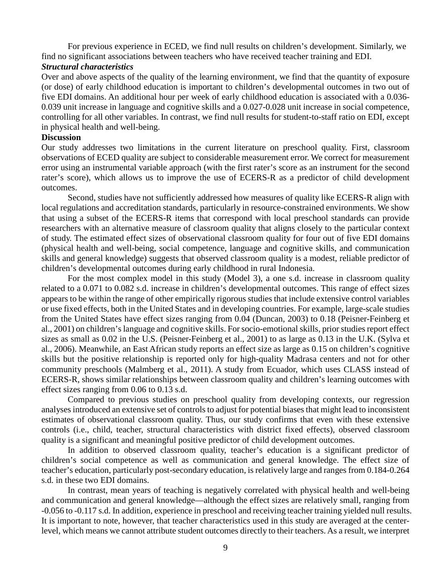For previous experience in ECED, we find null results on children's development. Similarly, we find no significant associations between teachers who have received teacher training and EDI.

# *Structural characteristics*

Over and above aspects of the quality of the learning environment, we find that the quantity of exposure (or dose) of early childhood education is important to children's developmental outcomes in two out of five EDI domains. An additional hour per week of early childhood education is associated with a 0.036- 0.039 unit increase in language and cognitive skills and a 0.027-0.028 unit increase in social competence, controlling for all other variables. In contrast, we find null results for student-to-staff ratio on EDI, except in physical health and well-being.

# **Discussion**

Our study addresses two limitations in the current literature on preschool quality. First, classroom observations of ECED quality are subject to considerable measurement error. We correct for measurement error using an instrumental variable approach (with the first rater's score as an instrument for the second rater's score), which allows us to improve the use of ECERS-R as a predictor of child development outcomes.

Second, studies have not sufficiently addressed how measures of quality like ECERS-R align with local regulations and accreditation standards, particularly in resource-constrained environments. We show that using a subset of the ECERS-R items that correspond with local preschool standards can provide researchers with an alternative measure of classroom quality that aligns closely to the particular context of study. The estimated effect sizes of observational classroom quality for four out of five EDI domains (physical health and well-being, social competence, language and cognitive skills, and communication skills and general knowledge) suggests that observed classroom quality is a modest, reliable predictor of children's developmental outcomes during early childhood in rural Indonesia.

For the most complex model in this study (Model 3), a one s.d. increase in classroom quality related to a 0.071 to 0.082 s.d. increase in children's developmental outcomes. This range of effect sizes appears to be within the range of other empirically rigorous studies that include extensive control variables or use fixed effects, both in the United States and in developing countries. For example, large-scale studies from the United States have effect sizes ranging from 0.04 (Duncan, 2003) to 0.18 (Peisner-Feinberg et al., 2001) on children's language and cognitive skills. For socio-emotional skills, prior studies report effect sizes as small as 0.02 in the U.S. (Peisner-Feinberg et al., 2001) to as large as 0.13 in the U.K. (Sylva et al., 2006). Meanwhile, an East African study reports an effect size as large as 0.15 on children's cognitive skills but the positive relationship is reported only for high-quality Madrasa centers and not for other community preschools (Malmberg et al., 2011). A study from Ecuador, which uses CLASS instead of ECERS-R, shows similar relationships between classroom quality and children's learning outcomes with effect sizes ranging from 0.06 to 0.13 s.d.

Compared to previous studies on preschool quality from developing contexts, our regression analyses introduced an extensive set of controls to adjust for potential biases that might lead to inconsistent estimates of observational classroom quality. Thus, our study confirms that even with these extensive controls (i.e., child, teacher, structural characteristics with district fixed effects), observed classroom quality is a significant and meaningful positive predictor of child development outcomes.

In addition to observed classroom quality, teacher's education is a significant predictor of children's social competence as well as communication and general knowledge. The effect size of teacher's education, particularly post-secondary education, is relatively large and ranges from 0.184-0.264 s.d. in these two EDI domains.

In contrast, mean years of teaching is negatively correlated with physical health and well-being and communication and general knowledge—although the effect sizes are relatively small, ranging from -0.056 to -0.117 s.d. In addition, experience in preschool and receiving teacher training yielded null results. It is important to note, however, that teacher characteristics used in this study are averaged at the centerlevel, which means we cannot attribute student outcomes directly to their teachers. As a result, we interpret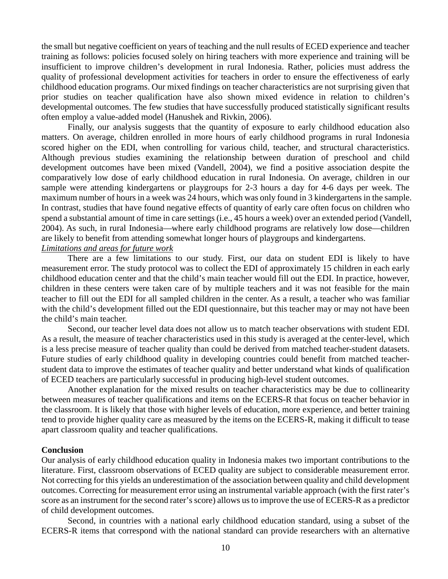the small but negative coefficient on years of teaching and the null results of ECED experience and teacher training as follows: policies focused solely on hiring teachers with more experience and training will be insufficient to improve children's development in rural Indonesia. Rather, policies must address the quality of professional development activities for teachers in order to ensure the effectiveness of early childhood education programs. Our mixed findings on teacher characteristics are not surprising given that prior studies on teacher qualification have also shown mixed evidence in relation to children's developmental outcomes. The few studies that have successfully produced statistically significant results often employ a value-added model (Hanushek and Rivkin, 2006).

Finally, our analysis suggests that the quantity of exposure to early childhood education also matters. On average, children enrolled in more hours of early childhood programs in rural Indonesia scored higher on the EDI, when controlling for various child, teacher, and structural characteristics. Although previous studies examining the relationship between duration of preschool and child development outcomes have been mixed (Vandell, 2004), we find a positive association despite the comparatively low dose of early childhood education in rural Indonesia. On average, children in our sample were attending kindergartens or playgroups for 2-3 hours a day for 4-6 days per week. The maximum number of hours in a week was 24 hours, which was only found in 3 kindergartens in the sample. In contrast, studies that have found negative effects of quantity of early care often focus on children who spend a substantial amount of time in care settings (i.e., 45 hours a week) over an extended period (Vandell, 2004). As such, in rural Indonesia—where early childhood programs are relatively low dose—children are likely to benefit from attending somewhat longer hours of playgroups and kindergartens. *Limitations and areas for future work*

There are a few limitations to our study. First, our data on student EDI is likely to have measurement error. The study protocol was to collect the EDI of approximately 15 children in each early childhood education center and that the child's main teacher would fill out the EDI. In practice, however, children in these centers were taken care of by multiple teachers and it was not feasible for the main teacher to fill out the EDI for all sampled children in the center. As a result, a teacher who was familiar with the child's development filled out the EDI questionnaire, but this teacher may or may not have been the child's main teacher.

Second, our teacher level data does not allow us to match teacher observations with student EDI. As a result, the measure of teacher characteristics used in this study is averaged at the center-level, which is a less precise measure of teacher quality than could be derived from matched teacher-student datasets. Future studies of early childhood quality in developing countries could benefit from matched teacherstudent data to improve the estimates of teacher quality and better understand what kinds of qualification of ECED teachers are particularly successful in producing high-level student outcomes.

Another explanation for the mixed results on teacher characteristics may be due to collinearity between measures of teacher qualifications and items on the ECERS-R that focus on teacher behavior in the classroom. It is likely that those with higher levels of education, more experience, and better training tend to provide higher quality care as measured by the items on the ECERS-R, making it difficult to tease apart classroom quality and teacher qualifications.

## **Conclusion**

Our analysis of early childhood education quality in Indonesia makes two important contributions to the literature. First, classroom observations of ECED quality are subject to considerable measurement error. Not correcting for this yields an underestimation of the association between quality and child development outcomes. Correcting for measurement error using an instrumental variable approach (with the first rater's score as an instrument for the second rater's score) allows us to improve the use of ECERS-R as a predictor of child development outcomes.

Second, in countries with a national early childhood education standard, using a subset of the ECERS-R items that correspond with the national standard can provide researchers with an alternative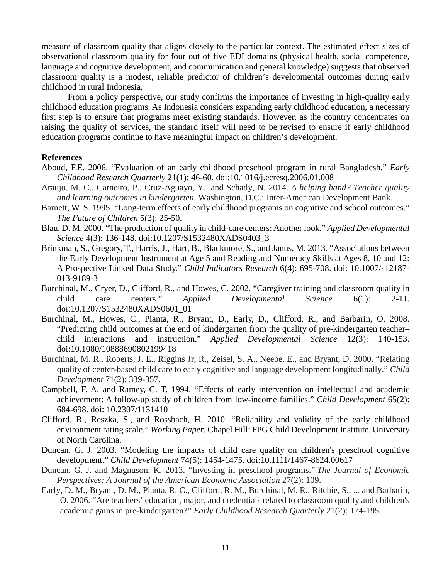measure of classroom quality that aligns closely to the particular context. The estimated effect sizes of observational classroom quality for four out of five EDI domains (physical health, social competence, language and cognitive development, and communication and general knowledge) suggests that observed classroom quality is a modest, reliable predictor of children's developmental outcomes during early childhood in rural Indonesia.

From a policy perspective, our study confirms the importance of investing in high-quality early childhood education programs. As Indonesia considers expanding early childhood education, a necessary first step is to ensure that programs meet existing standards. However, as the country concentrates on raising the quality of services, the standard itself will need to be revised to ensure if early childhood education programs continue to have meaningful impact on children's development.

#### **References**

- Aboud, F.E. 2006. "Evaluation of an early childhood preschool program in rural Bangladesh." *Early Childhood Research Quarterly* 21(1): 46-60. doi:10.1016/j.ecresq.2006.01.008
- Araujo, M. C., Carneiro, P., Cruz-Aguayo, Y., and Schady, N. 2014. *A helping hand? Teacher quality and learning outcomes in kindergarten.* Washington, D.C.: Inter-American Development Bank.
- Barnett, W. S. 1995. "Long-term effects of early childhood programs on cognitive and school outcomes." *The Future of Children* 5(3): 25-50.
- Blau, D. M. 2000. "The production of quality in child-care centers: Another look." *Applied Developmental Science* 4(3): 136-148. doi:10.1207/S1532480XADS0403\_3
- Brinkman, S., Gregory, T., Harris, J., Hart, B., Blackmore, S., and Janus, M. 2013. "Associations between the Early Development Instrument at Age 5 and Reading and Numeracy Skills at Ages 8, 10 and 12: A Prospective Linked Data Study." *Child Indicators Research* 6(4): 695-708. doi: 10.1007/s12187- 013-9189-3
- Burchinal, M., Cryer, D., Clifford, R., and Howes, C. 2002. "Caregiver training and classroom quality in child care centers." *Applied Developmental Science* 6(1): 2-11. doi:10.1207/S1532480XADS0601\_01
- Burchinal, M., Howes, C., Pianta, R., Bryant, D., Early, D., Clifford, R., and Barbarin, O. 2008. "Predicting child outcomes at the end of kindergarten from the quality of pre-kindergarten teacher– child interactions and instruction." *Applied Developmental Science* 12(3): 140-153. doi:10.1080/10888690802199418
- Burchinal, M. R., Roberts, J. E., Riggins Jr, R., Zeisel, S. A., Neebe, E., and Bryant, D. 2000. "Relating quality of center-based child care to early cognitive and language development longitudinally." *Child Development* 71(2): 339-357.
- Campbell, F. A. and Ramey, C. T. 1994. "Effects of early intervention on intellectual and academic achievement: A follow-up study of children from low-income families." *Child Development* 65(2): 684-698. doi: 10.2307/1131410
- Clifford, R., Reszka, S., and Rossbach, H. 2010. "Reliability and validity of the early childhood environment rating scale." *Working Paper.* Chapel Hill: FPG Child Development Institute, University of North Carolina.
- Duncan, G. J. 2003. "Modeling the impacts of child care quality on children's preschool cognitive development." *Child Development* 74(5): 1454-1475. doi:10.1111/1467-8624.00617
- Duncan, G. J. and Magnuson, K. 2013. "Investing in preschool programs." *The Journal of Economic Perspectives: A Journal of the American Economic Association* 27(2): 109.
- Early, D. M., Bryant, D. M., Pianta, R. C., Clifford, R. M., Burchinal, M. R., Ritchie, S., ... and Barbarin, O. 2006. "Are teachers' education, major, and credentials related to classroom quality and children's academic gains in pre-kindergarten?" *Early Childhood Research Quarterly* 21(2): 174-195.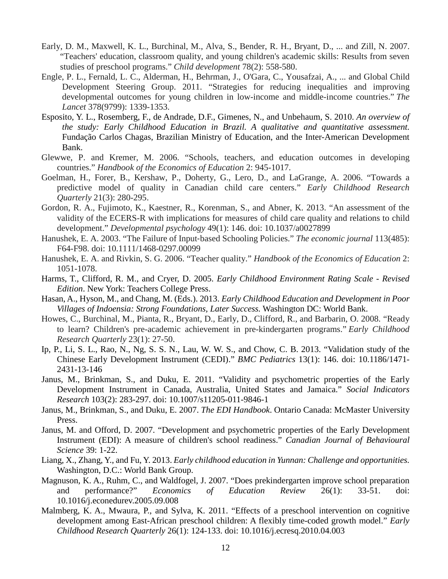- Early, D. M., Maxwell, K. L., Burchinal, M., Alva, S., Bender, R. H., Bryant, D., ... and Zill, N. 2007. "Teachers' education, classroom quality, and young children's academic skills: Results from seven studies of preschool programs." *Child development* 78(2): 558-580.
- Engle, P. L., Fernald, L. C., Alderman, H., Behrman, J., O'Gara, C., Yousafzai, A., ... and Global Child Development Steering Group. 2011. "Strategies for reducing inequalities and improving developmental outcomes for young children in low-income and middle-income countries." *The Lancet* 378(9799): 1339-1353.
- Esposito, Y. L., Rosemberg, F., de Andrade, D.F., Gimenes, N., and Unbehaum, S. 2010. *An overview of the study: Early Childhood Education in Brazil. A qualitative and quantitative assessment.* Fundação Carlos Chagas, Brazilian Ministry of Education, and the Inter-American Development Bank.
- Glewwe, P. and Kremer, M. 2006. "Schools, teachers, and education outcomes in developing countries." *Handbook of the Economics of Education* 2: 945-1017.
- Goelman, H., Forer, B., Kershaw, P., Doherty, G., Lero, D., and LaGrange, A. 2006. "Towards a predictive model of quality in Canadian child care centers." *Early Childhood Research Quarterly* 21(3): 280-295.
- Gordon, R. A., Fujimoto, K., Kaestner, R., Korenman, S., and Abner, K. 2013. "An assessment of the validity of the ECERS-R with implications for measures of child care quality and relations to child development." *Developmental psychology* 49(1): 146. doi: 10.1037/a0027899
- Hanushek, E. A. 2003. "The Failure of Input‐based Schooling Policies." *The economic journal* 113(485): F64-F98. doi: 10.1111/1468-0297.00099
- Hanushek, E. A. and Rivkin, S. G. 2006. "Teacher quality." *Handbook of the Economics of Education* 2: 1051-1078.
- Harms, T., Clifford, R. M., and Cryer, D. 2005. *Early Childhood Environment Rating Scale - Revised Edition*. New York: Teachers College Press.
- Hasan, A., Hyson, M., and Chang, M. (Eds.). 2013. *Early Childhood Education and Development in Poor Villages of Indoensia: Strong Foundations, Later Success.* Washington DC: World Bank.
- Howes, C., Burchinal, M., Pianta, R., Bryant, D., Early, D., Clifford, R., and Barbarin, O. 2008. "Ready to learn? Children's pre-academic achievement in pre-kindergarten programs." *Early Childhood Research Quarterly* 23(1): 27-50.
- Ip, P., Li, S. L., Rao, N., Ng, S. S. N., Lau, W. W. S., and Chow, C. B. 2013. "Validation study of the Chinese Early Development Instrument (CEDI)." *BMC Pediatrics* 13(1): 146. doi: 10.1186/1471- 2431-13-146
- Janus, M., Brinkman, S., and Duku, E. 2011. "Validity and psychometric properties of the Early Development Instrument in Canada, Australia, United States and Jamaica." *Social Indicators Research* 103(2): 283-297. doi: 10.1007/s11205-011-9846-1
- Janus, M., Brinkman, S., and Duku, E. 2007. *The EDI Handbook*. Ontario Canada: McMaster University Press.
- Janus, M. and Offord, D. 2007. "Development and psychometric properties of the Early Development Instrument (EDI): A measure of children's school readiness." *Canadian Journal of Behavioural Science* 39: 1-22.
- Liang, X., Zhang, Y., and Fu, Y. 2013. *Early childhood education in Yunnan: Challenge and opportunities.* Washington, D.C.: World Bank Group.
- Magnuson, K. A., Ruhm, C., and Waldfogel, J. 2007. "Does prekindergarten improve school preparation and performance?" *Economics of Education Review* 26(1): 33-51. doi: 10.1016/j.econedurev.2005.09.008
- Malmberg, K. A., Mwaura, P., and Sylva, K. 2011. "Effects of a preschool intervention on cognitive development among East-African preschool children: A flexibly time-coded growth model." *Early Childhood Research Quarterly* 26(1): 124-133. doi: 10.1016/j.ecresq.2010.04.003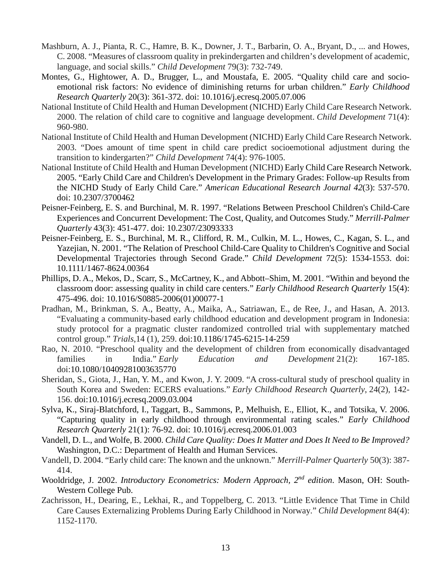- Mashburn, A. J., Pianta, R. C., Hamre, B. K., Downer, J. T., Barbarin, O. A., Bryant, D., ... and Howes, C. 2008. "Measures of classroom quality in prekindergarten and children's development of academic, language, and social skills." *Child Development* 79(3): 732-749.
- Montes, G., Hightower, A. D., Brugger, L., and Moustafa, E. 2005. "Quality child care and socioemotional risk factors: No evidence of diminishing returns for urban children." *Early Childhood Research Quarterly* 20(3): 361-372. doi: 10.1016/j.ecresq.2005.07.006
- National Institute of Child Health and Human Development (NICHD) Early Child Care Research Network. 2000. The relation of child care to cognitive and language development. *Child Development* 71(4): 960-980.
- National Institute of Child Health and Human Development (NICHD) Early Child Care Research Network. 2003. "Does amount of time spent in child care predict socioemotional adjustment during the transition to kindergarten?" *Child Development* 74(4): 976-1005.
- National Institute of Child Health and Human Development (NICHD) Early Child Care Research Network. 2005. "Early Child Care and Children's Development in the Primary Grades: Follow-up Results from the NICHD Study of Early Child Care." *American Educational Research Journal 42*(3): 537-570. doi: 10.2307/3700462
- Peisner-Feinberg, E. S. and Burchinal, M. R. 1997. "Relations Between Preschool Children's Child-Care Experiences and Concurrent Development: The Cost, Quality, and Outcomes Study." *Merrill-Palmer Quarterly* 43(3): 451-477. doi: 10.2307/23093333
- Peisner-Feinberg, E. S., Burchinal, M. R., Clifford, R. M., Culkin, M. L., Howes, C., Kagan, S. L., and Yazejian, N. 2001. "The Relation of Preschool Child-Care Quality to Children's Cognitive and Social Developmental Trajectories through Second Grade." *Child Development* 72(5): 1534-1553. doi: 10.1111/1467-8624.00364
- Phillips, D. A., Mekos, D., Scarr, S., McCartney, K., and Abbott–Shim, M. 2001. "Within and beyond the classroom door: assessing quality in child care centers." *Early Childhood Research Quarterly* 15(4): 475-496. doi: 10.1016/S0885-2006(01)00077-1
- Pradhan, M., Brinkman, S. A., Beatty, A., Maika, A., Satriawan, E., de Ree, J., and Hasan, A. 2013. "Evaluating a community-based early childhood education and development program in Indonesia: study protocol for a pragmatic cluster randomized controlled trial with supplementary matched control group." *Trials*,14 (1), 259. doi:10.1186/1745-6215-14-259
- Rao, N. 2010. "Preschool quality and the development of children from economically disadvantaged families in India." *Early Education and Development* 21(2): 167-185. doi:10.1080/10409281003635770
- Sheridan, S., Giota, J., Han, Y. M., and Kwon, J. Y. 2009. "A cross-cultural study of preschool quality in South Korea and Sweden: ECERS evaluations." *Early Childhood Research Quarterly*, 24(2), 142- 156. doi:10.1016/j.ecresq.2009.03.004
- Sylva, K., Siraj-Blatchford, I., Taggart, B., Sammons, P., Melhuish, E., Elliot, K., and Totsika, V. 2006. "Capturing quality in early childhood through environmental rating scales." *Early Childhood Research Quarterly* 21(1): 76-92. doi: 10.1016/j.ecresq.2006.01.003
- Vandell, D. L., and Wolfe, B. 2000. *Child Care Quality: Does It Matter and Does It Need to Be Improved?*  Washington, D.C.: Department of Health and Human Services.
- Vandell, D. 2004. "Early child care: The known and the unknown." *Merrill-Palmer Quarterly* 50(3): 387- 414.
- Wooldridge, J. 2002. *Introductory Econometrics: Modern Approach, 2nd edition*. Mason, OH: South-Western College Pub.
- Zachrisson, H., Dearing, E., Lekhai, R., and Toppelberg, C. 2013. "Little Evidence That Time in Child Care Causes Externalizing Problems During Early Childhood in Norway." *Child Development* 84(4): 1152-1170.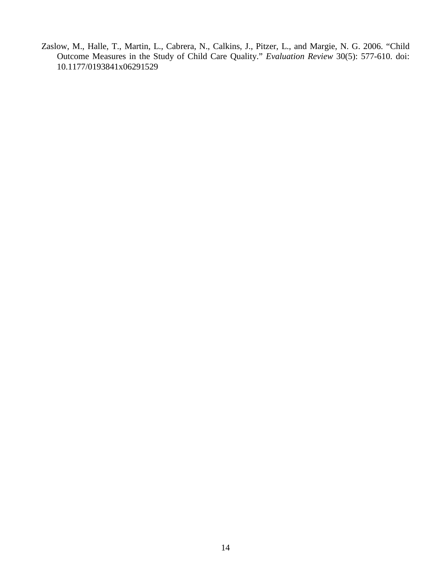Zaslow, M., Halle, T., Martin, L., Cabrera, N., Calkins, J., Pitzer, L., and Margie, N. G. 2006. "Child Outcome Measures in the Study of Child Care Quality." *Evaluation Review* 30(5): 577-610. doi: 10.1177/0193841x06291529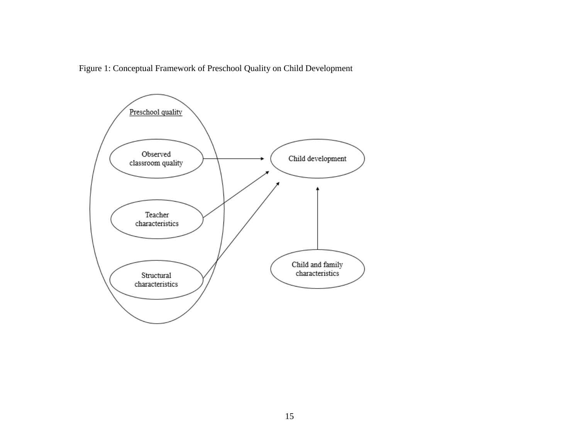Figure 1: Conceptual Framework of Preschool Quality on Child Development

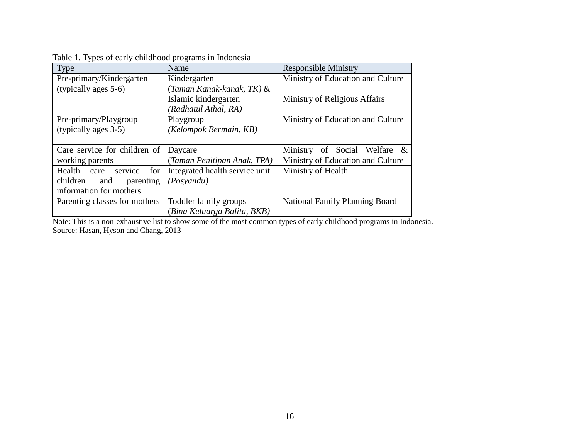| <b>Type</b>                   | Name                           | <b>Responsible Ministry</b>           |
|-------------------------------|--------------------------------|---------------------------------------|
| Pre-primary/Kindergarten      | Kindergarten                   | Ministry of Education and Culture     |
| (typically ages 5-6)          | (Taman Kanak-kanak, TK) &      |                                       |
|                               | Islamic kindergarten           | Ministry of Religious Affairs         |
|                               | (Radhatul Athal, RA)           |                                       |
| Pre-primary/Playgroup         | Playgroup                      | Ministry of Education and Culture     |
| (typically ages 3-5)          | (Kelompok Bermain, KB)         |                                       |
|                               |                                |                                       |
| Care service for children of  | Daycare                        | Ministry of Social Welfare &          |
| working parents               | (Taman Penitipan Anak, TPA)    | Ministry of Education and Culture     |
| service<br>for<br>Health care | Integrated health service unit | Ministry of Health                    |
| children<br>and<br>parenting  | (Posyandu)                     |                                       |
| information for mothers       |                                |                                       |
| Parenting classes for mothers | Toddler family groups          | <b>National Family Planning Board</b> |
|                               | (Bina Keluarga Balita, BKB)    |                                       |

Table 1. Types of early childhood programs in Indonesia

Note: This is a non-exhaustive list to show some of the most common types of early childhood programs in Indonesia. Source: Hasan, Hyson and Chang, 2013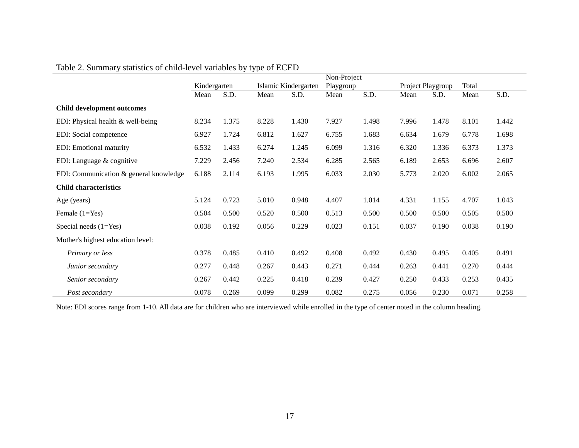|                                        |              |       |       |                      | Non-Project |       |       |                   |       |       |
|----------------------------------------|--------------|-------|-------|----------------------|-------------|-------|-------|-------------------|-------|-------|
|                                        | Kindergarten |       |       | Islamic Kindergarten | Playgroup   |       |       | Project Playgroup | Total |       |
|                                        | Mean         | S.D.  | Mean  | S.D.                 | Mean        | S.D.  | Mean  | S.D.              | Mean  | S.D.  |
| <b>Child development outcomes</b>      |              |       |       |                      |             |       |       |                   |       |       |
| EDI: Physical health & well-being      | 8.234        | 1.375 | 8.228 | 1.430                | 7.927       | 1.498 | 7.996 | 1.478             | 8.101 | 1.442 |
| EDI: Social competence                 | 6.927        | 1.724 | 6.812 | 1.627                | 6.755       | 1.683 | 6.634 | 1.679             | 6.778 | 1.698 |
| EDI: Emotional maturity                | 6.532        | 1.433 | 6.274 | 1.245                | 6.099       | 1.316 | 6.320 | 1.336             | 6.373 | 1.373 |
| EDI: Language & cognitive              | 7.229        | 2.456 | 7.240 | 2.534                | 6.285       | 2.565 | 6.189 | 2.653             | 6.696 | 2.607 |
| EDI: Communication & general knowledge | 6.188        | 2.114 | 6.193 | 1.995                | 6.033       | 2.030 | 5.773 | 2.020             | 6.002 | 2.065 |
| <b>Child characteristics</b>           |              |       |       |                      |             |       |       |                   |       |       |
| Age (years)                            | 5.124        | 0.723 | 5.010 | 0.948                | 4.407       | 1.014 | 4.331 | 1.155             | 4.707 | 1.043 |
| Female $(1=Yes)$                       | 0.504        | 0.500 | 0.520 | 0.500                | 0.513       | 0.500 | 0.500 | 0.500             | 0.505 | 0.500 |
| Special needs $(1 = Yes)$              | 0.038        | 0.192 | 0.056 | 0.229                | 0.023       | 0.151 | 0.037 | 0.190             | 0.038 | 0.190 |
| Mother's highest education level:      |              |       |       |                      |             |       |       |                   |       |       |
| Primary or less                        | 0.378        | 0.485 | 0.410 | 0.492                | 0.408       | 0.492 | 0.430 | 0.495             | 0.405 | 0.491 |
| Junior secondary                       | 0.277        | 0.448 | 0.267 | 0.443                | 0.271       | 0.444 | 0.263 | 0.441             | 0.270 | 0.444 |
| Senior secondary                       | 0.267        | 0.442 | 0.225 | 0.418                | 0.239       | 0.427 | 0.250 | 0.433             | 0.253 | 0.435 |
| Post secondary                         | 0.078        | 0.269 | 0.099 | 0.299                | 0.082       | 0.275 | 0.056 | 0.230             | 0.071 | 0.258 |

# Table 2. Summary statistics of child-level variables by type of ECED

Note: EDI scores range from 1-10. All data are for children who are interviewed while enrolled in the type of center noted in the column heading.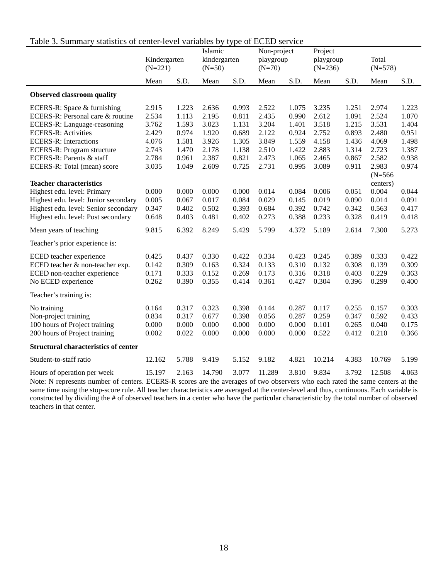|                                                                                                                                                                                                                                                                                                                        | Kindergarten<br>$(N=221)$                                                     |                                                                               | Islamic<br>kindergarten<br>$(N=50)$                                           |                                                                               | Non-project<br>playgroup<br>$(N=70)$                                          |                                                                               | Project<br>playgroup<br>$(N=236)$                                             |                                                                               | Total<br>$(N=578)$                                                                                     |                                                                               |
|------------------------------------------------------------------------------------------------------------------------------------------------------------------------------------------------------------------------------------------------------------------------------------------------------------------------|-------------------------------------------------------------------------------|-------------------------------------------------------------------------------|-------------------------------------------------------------------------------|-------------------------------------------------------------------------------|-------------------------------------------------------------------------------|-------------------------------------------------------------------------------|-------------------------------------------------------------------------------|-------------------------------------------------------------------------------|--------------------------------------------------------------------------------------------------------|-------------------------------------------------------------------------------|
|                                                                                                                                                                                                                                                                                                                        | Mean                                                                          | S.D.                                                                          | Mean                                                                          | S.D.                                                                          | Mean                                                                          | S.D.                                                                          | Mean                                                                          | S.D.                                                                          | Mean                                                                                                   | S.D.                                                                          |
| <b>Observed classroom quality</b>                                                                                                                                                                                                                                                                                      |                                                                               |                                                                               |                                                                               |                                                                               |                                                                               |                                                                               |                                                                               |                                                                               |                                                                                                        |                                                                               |
| ECERS-R: Space & furnishing<br>ECERS-R: Personal care & routine<br>ECERS-R: Language-reasoning<br><b>ECERS-R: Activities</b><br><b>ECERS-R:</b> Interactions<br>ECERS-R: Program structure<br>ECERS-R: Parents & staff<br>ECERS-R: Total (mean) score<br><b>Teacher characteristics</b><br>Highest edu. level: Primary | 2.915<br>2.534<br>3.762<br>2.429<br>4.076<br>2.743<br>2.784<br>3.035<br>0.000 | 1.223<br>1.113<br>1.593<br>0.974<br>1.581<br>1.470<br>0.961<br>1.049<br>0.000 | 2.636<br>2.195<br>3.023<br>1.920<br>3.926<br>2.178<br>2.387<br>2.609<br>0.000 | 0.993<br>0.811<br>1.131<br>0.689<br>1.305<br>1.138<br>0.821<br>0.725<br>0.000 | 2.522<br>2.435<br>3.204<br>2.122<br>3.849<br>2.510<br>2.473<br>2.731<br>0.014 | 1.075<br>0.990<br>1.401<br>0.924<br>1.559<br>1.422<br>1.065<br>0.995<br>0.084 | 3.235<br>2.612<br>3.518<br>2.752<br>4.158<br>2.883<br>2.465<br>3.089<br>0.006 | 1.251<br>1.091<br>1.215<br>0.893<br>1.436<br>1.314<br>0.867<br>0.911<br>0.051 | 2.974<br>2.524<br>3.531<br>2.480<br>4.069<br>2.723<br>2.582<br>2.983<br>$(N=566)$<br>centers)<br>0.004 | 1.223<br>1.070<br>1.404<br>0.951<br>1.498<br>1.387<br>0.938<br>0.974<br>0.044 |
| Highest edu. level: Junior secondary<br>Highest edu. level: Senior secondary<br>Highest edu. level: Post secondary                                                                                                                                                                                                     | 0.005<br>0.347<br>0.648                                                       | 0.067<br>0.402<br>0.403                                                       | 0.017<br>0.502<br>0.481                                                       | 0.084<br>0.393<br>0.402                                                       | 0.029<br>0.684<br>0.273                                                       | 0.145<br>0.392<br>0.388                                                       | 0.019<br>0.742<br>0.233                                                       | 0.090<br>0.342<br>0.328                                                       | 0.014<br>0.563<br>0.419                                                                                | 0.091<br>0.417<br>0.418                                                       |
| Mean years of teaching                                                                                                                                                                                                                                                                                                 | 9.815                                                                         | 6.392                                                                         | 8.249                                                                         | 5.429                                                                         | 5.799                                                                         | 4.372                                                                         | 5.189                                                                         | 2.614                                                                         | 7.300                                                                                                  | 5.273                                                                         |
| Teacher's prior experience is:                                                                                                                                                                                                                                                                                         |                                                                               |                                                                               |                                                                               |                                                                               |                                                                               |                                                                               |                                                                               |                                                                               |                                                                                                        |                                                                               |
| ECED teacher experience<br>ECED teacher & non-teacher exp.<br>ECED non-teacher experience<br>No ECED experience                                                                                                                                                                                                        | 0.425<br>0.142<br>0.171<br>0.262                                              | 0.437<br>0.309<br>0.333<br>0.390                                              | 0.330<br>0.163<br>0.152<br>0.355                                              | 0.422<br>0.324<br>0.269<br>0.414                                              | 0.334<br>0.133<br>0.173<br>0.361                                              | 0.423<br>0.310<br>0.316<br>0.427                                              | 0.245<br>0.132<br>0.318<br>0.304                                              | 0.389<br>0.308<br>0.403<br>0.396                                              | 0.333<br>0.139<br>0.229<br>0.299                                                                       | 0.422<br>0.309<br>0.363<br>0.400                                              |
| Teacher's training is:                                                                                                                                                                                                                                                                                                 |                                                                               |                                                                               |                                                                               |                                                                               |                                                                               |                                                                               |                                                                               |                                                                               |                                                                                                        |                                                                               |
| No training<br>Non-project training<br>100 hours of Project training<br>200 hours of Project training                                                                                                                                                                                                                  | 0.164<br>0.834<br>0.000<br>0.002                                              | 0.317<br>0.317<br>0.000<br>0.022                                              | 0.323<br>0.677<br>0.000<br>0.000                                              | 0.398<br>0.398<br>0.000<br>0.000                                              | 0.144<br>0.856<br>0.000<br>0.000                                              | 0.287<br>0.287<br>0.000<br>0.000                                              | 0.117<br>0.259<br>0.101<br>0.522                                              | 0.255<br>0.347<br>0.265<br>0.412                                              | 0.157<br>0.592<br>0.040<br>0.210                                                                       | 0.303<br>0.433<br>0.175<br>0.366                                              |
| <b>Structural characteristics of center</b>                                                                                                                                                                                                                                                                            |                                                                               |                                                                               |                                                                               |                                                                               |                                                                               |                                                                               |                                                                               |                                                                               |                                                                                                        |                                                                               |
| Student-to-staff ratio                                                                                                                                                                                                                                                                                                 | 12.162                                                                        | 5.788                                                                         | 9.419                                                                         | 5.152                                                                         | 9.182                                                                         | 4.821                                                                         | 10.214                                                                        | 4.383                                                                         | 10.769                                                                                                 | 5.199                                                                         |
| Hours of operation per week                                                                                                                                                                                                                                                                                            | 15.197                                                                        | 2.163                                                                         | 14.790                                                                        | 3.077                                                                         | 11.289                                                                        | 3.810                                                                         | 9.834                                                                         | 3.792                                                                         | 12.508                                                                                                 | 4.063                                                                         |

# Table 3. Summary statistics of center-level variables by type of ECED service

Note: N represents number of centers. ECERS-R scores are the averages of two observers who each rated the same centers at the same time using the stop-score rule. All teacher characteristics are averaged at the center-level and thus, continuous. Each variable is constructed by dividing the # of observed teachers in a center who have the particular characteristic by the total number of observed teachers in that center.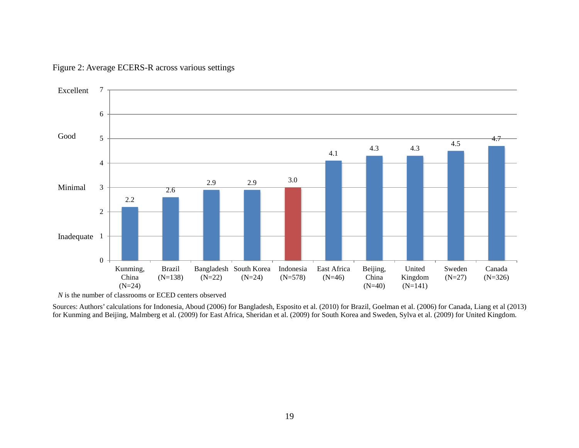

Figure 2: Average ECERS-R across various settings

*N* is the number of classrooms or ECED centers observed

Sources: Authors' calculations for Indonesia, Aboud (2006) for Bangladesh, Esposito et al. (2010) for Brazil, Goelman et al. (2006) for Canada, Liang et al (2013) for Kunming and Beijing, Malmberg et al. (2009) for East Africa, Sheridan et al. (2009) for South Korea and Sweden, Sylva et al. (2009) for United Kingdom.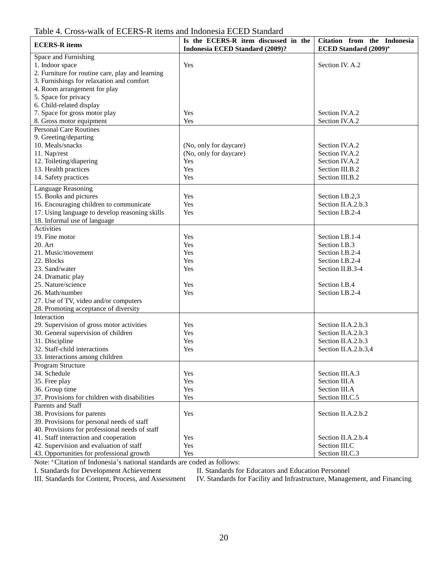|  |  | Table 4. Cross-walk of ECERS-R items and Indonesia ECED Standard |  |  |  |  |
|--|--|------------------------------------------------------------------|--|--|--|--|
|--|--|------------------------------------------------------------------|--|--|--|--|

| Cross waik of LCLRS INTRINS and muonesia LCLD Bianuary              |                                        |                                   |
|---------------------------------------------------------------------|----------------------------------------|-----------------------------------|
| <b>ECERS-R</b> items                                                | Is the ECERS-R item discussed in the   | Citation from the Indonesia       |
| Space and Furnishing                                                | <b>Indonesia ECED Standard (2009)?</b> | ECED Standard (2009) <sup>a</sup> |
|                                                                     | Yes                                    | Section IV. A.2                   |
| 1. Indoor space<br>2. Furniture for routine care, play and learning |                                        |                                   |
| 3. Furnishings for relaxation and comfort                           |                                        |                                   |
| 4. Room arrangement for play                                        |                                        |                                   |
| 5. Space for privacy                                                |                                        |                                   |
| 6. Child-related display                                            |                                        |                                   |
| 7. Space for gross motor play                                       | Yes                                    | Section IV.A.2                    |
| 8. Gross motor equipment                                            | Yes                                    | Section IV.A.2                    |
| <b>Personal Care Routines</b>                                       |                                        |                                   |
| 9. Greeting/departing                                               |                                        |                                   |
| 10. Meals/snacks                                                    |                                        |                                   |
|                                                                     | (No, only for daycare)                 | Section IV.A.2<br>Section IV.A.2  |
| 11. Nap/rest                                                        | (No, only for daycare)<br>Yes          |                                   |
| 12. Toileting/diapering                                             |                                        | Section IV.A.2                    |
| 13. Health practices                                                | Yes                                    | Section III.B.2                   |
| 14. Safety practices                                                | Yes                                    | Section III.B.2                   |
| Language Reasoning                                                  |                                        |                                   |
| 15. Books and pictures                                              | Yes                                    | Section I.B.2,3                   |
| 16. Encouraging children to communicate                             | Yes                                    | Section II.A.2.b.3                |
| 17. Using language to develop reasoning skills                      | Yes                                    | Section I.B.2-4                   |
| 18. Informal use of language                                        |                                        |                                   |
| <b>Activities</b>                                                   |                                        |                                   |
| 19. Fine motor                                                      | Yes                                    | Section I.B.1-4                   |
| 20. Art                                                             | Yes                                    | Section I.B.3                     |
| 21. Music/movement                                                  | Yes                                    | Section I.B.2-4                   |
| 22. Blocks                                                          | Yes                                    | Section I.B.2-4                   |
| 23. Sand/water                                                      | Yes                                    | Section II.B.3-4                  |
| 24. Dramatic play                                                   |                                        |                                   |
| 25. Nature/science                                                  | Yes                                    | Section I.B.4                     |
| 26. Math/number                                                     | Yes                                    | Section I.B.2-4                   |
| 27. Use of TV, video and/or computers                               |                                        |                                   |
| 28. Promoting acceptance of diversity                               |                                        |                                   |
| Interaction                                                         |                                        |                                   |
| 29. Supervision of gross motor activities                           | Yes                                    | Section II.A.2.b.3                |
| 30. General supervision of children                                 | Yes                                    | Section II.A.2.b.3                |
| 31. Discipline                                                      | Yes                                    | Section II.A.2.b.3                |
| 32. Staff-child interactions                                        | Yes                                    | Section II.A.2.b.3,4              |
| 33. Interactions among children                                     |                                        |                                   |
| Program Structure                                                   |                                        |                                   |
| 34. Schedule                                                        | Yes                                    | Section III.A.3                   |
| 35. Free play                                                       | Yes                                    | Section III.A                     |
| 36. Group time                                                      | Yes                                    | Section III.A                     |
| 37. Provisions for children with disabilities                       | Yes                                    | Section III.C.5                   |
| Parents and Staff                                                   |                                        |                                   |
| 38. Provisions for parents                                          | Yes                                    | Section II.A.2.b.2                |
| 39. Provisions for personal needs of staff                          |                                        |                                   |
| 40. Provisions for professional needs of staff                      |                                        |                                   |
| 41. Staff interaction and cooperation                               | Yes                                    | Section II.A.2.b.4                |
| 42. Supervision and evaluation of staff                             | Yes                                    | Section III.C                     |
| 43. Opportunities for professional growth                           | Yes                                    | Section III.C.3                   |

Note: <sup>a</sup> Citation of Indonesia's national standards are coded as follows:<br>I. Standards for Development Achievement II. Standards fo

I. Standards for Development Achievement II. Standards for Educators and Education Personnel III. Standards for Content, Process, and Assessment IV. Standards for Facility and Infrastructure, Manage IV. Standards for Facility and Infrastructure, Management, and Financing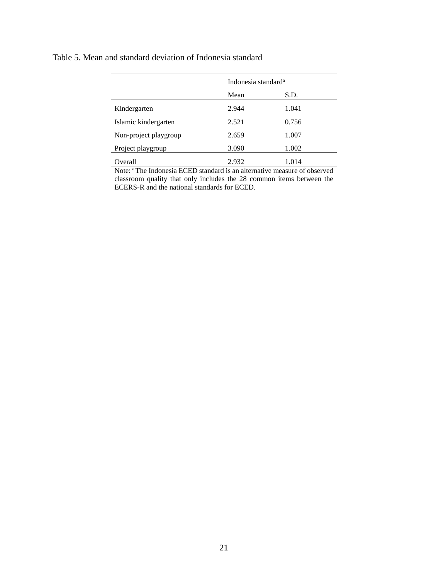| Table 5. Mean and standard deviation of Indonesia standard |  |  |  |
|------------------------------------------------------------|--|--|--|
|------------------------------------------------------------|--|--|--|

|                       | Indonesia standard <sup>a</sup> |       |  |
|-----------------------|---------------------------------|-------|--|
|                       | Mean                            | S.D.  |  |
| Kindergarten          | 2.944                           | 1.041 |  |
| Islamic kindergarten  | 2.521                           | 0.756 |  |
| Non-project playgroup | 2.659                           | 1.007 |  |
| Project playgroup     | 3.090                           | 1.002 |  |
| Overall               | 2.932                           | 1.014 |  |

Note: <sup>a</sup>The Indonesia ECED standard is an alternative measure of observed classroom quality that only includes the 28 common items between the ECERS-R and the national standards for ECED.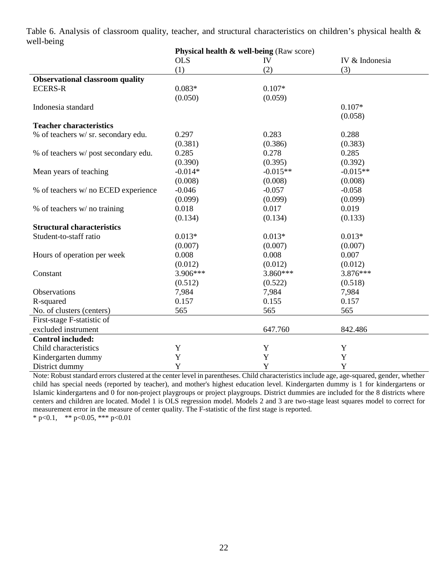|                                        |            | <b>Physical health &amp; well-being (Raw score)</b> |                |  |
|----------------------------------------|------------|-----------------------------------------------------|----------------|--|
|                                        | <b>OLS</b> | IV                                                  | IV & Indonesia |  |
|                                        | (1)        | (2)                                                 | (3)            |  |
| <b>Observational classroom quality</b> |            |                                                     |                |  |
| <b>ECERS-R</b>                         | $0.083*$   | $0.107*$                                            |                |  |
|                                        | (0.050)    | (0.059)                                             |                |  |
| Indonesia standard                     |            |                                                     | $0.107*$       |  |
|                                        |            |                                                     | (0.058)        |  |
| <b>Teacher characteristics</b>         |            |                                                     |                |  |
| % of teachers w/ sr. secondary edu.    | 0.297      | 0.283                                               | 0.288          |  |
|                                        | (0.381)    | (0.386)                                             | (0.383)        |  |
| % of teachers w/ post secondary edu.   | 0.285      | 0.278                                               | 0.285          |  |
|                                        | (0.390)    | (0.395)                                             | (0.392)        |  |
| Mean years of teaching                 | $-0.014*$  | $-0.015**$                                          | $-0.015**$     |  |
|                                        | (0.008)    | (0.008)                                             | (0.008)        |  |
| % of teachers w/ no ECED experience    | $-0.046$   | $-0.057$                                            | $-0.058$       |  |
|                                        | (0.099)    | (0.099)                                             | (0.099)        |  |
| % of teachers w/ no training           | 0.018      | 0.017                                               | 0.019          |  |
|                                        | (0.134)    | (0.134)                                             | (0.133)        |  |
| <b>Structural characteristics</b>      |            |                                                     |                |  |
| Student-to-staff ratio                 | $0.013*$   | $0.013*$                                            | $0.013*$       |  |
|                                        | (0.007)    | (0.007)                                             | (0.007)        |  |
| Hours of operation per week            | 0.008      | 0.008                                               | 0.007          |  |
|                                        | (0.012)    | (0.012)                                             | (0.012)        |  |
| Constant                               | 3.906***   | 3.860***                                            | $3.876***$     |  |
|                                        | (0.512)    | (0.522)                                             | (0.518)        |  |
| Observations                           | 7,984      | 7,984                                               | 7,984          |  |
| R-squared                              | 0.157      | 0.155                                               | 0.157          |  |
| No. of clusters (centers)              | 565        | 565                                                 | 565            |  |
| First-stage F-statistic of             |            |                                                     |                |  |
| excluded instrument                    |            | 647.760                                             | 842.486        |  |
| <b>Control included:</b>               |            |                                                     |                |  |
| Child characteristics                  | Y          | Y                                                   | Y              |  |
| Kindergarten dummy                     | Y          | Y                                                   | Y              |  |
| District dummy                         | Y          | Y                                                   | Y              |  |

Table 6. Analysis of classroom quality, teacher, and structural characteristics on children's physical health & well-being

Note: Robust standard errors clustered at the center level in parentheses. Child characteristics include age, age-squared, gender, whether child has special needs (reported by teacher), and mother's highest education level. Kindergarten dummy is 1 for kindergartens or Islamic kindergartens and 0 for non-project playgroups or project playgroups. District dummies are included for the 8 districts where centers and children are located. Model 1 is OLS regression model. Models 2 and 3 are two-stage least squares model to correct for measurement error in the measure of center quality. The F-statistic of the first stage is reported.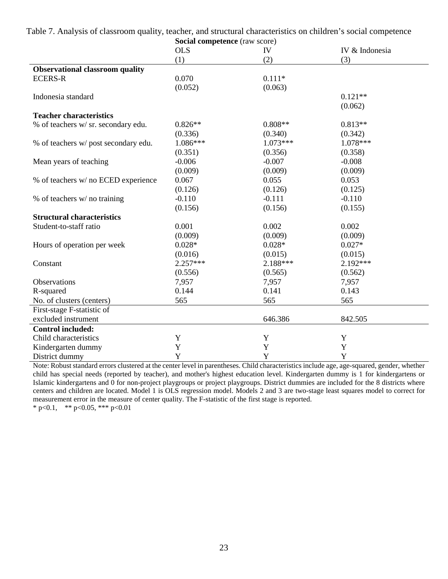| Table 7. Analysis of classroom quality, teacher, and structural characteristics on children's social competence |  |  |  |  |  |  |  |
|-----------------------------------------------------------------------------------------------------------------|--|--|--|--|--|--|--|
| Rogiol compotance (row secre)                                                                                   |  |  |  |  |  |  |  |

|                                        | <b>Social competence</b> (raw score) |            |                |
|----------------------------------------|--------------------------------------|------------|----------------|
|                                        | <b>OLS</b>                           | IV         | IV & Indonesia |
|                                        | (1)                                  | (2)        | (3)            |
| <b>Observational classroom quality</b> |                                      |            |                |
| <b>ECERS-R</b>                         | 0.070                                | $0.111*$   |                |
|                                        | (0.052)                              | (0.063)    |                |
| Indonesia standard                     |                                      |            | $0.121**$      |
|                                        |                                      |            | (0.062)        |
| <b>Teacher characteristics</b>         |                                      |            |                |
| % of teachers w/ sr. secondary edu.    | $0.826**$                            | $0.808**$  | $0.813**$      |
|                                        | (0.336)                              | (0.340)    | (0.342)        |
| % of teachers w/ post secondary edu.   | 1.086***                             | $1.073***$ | 1.078***       |
|                                        | (0.351)                              | (0.356)    | (0.358)        |
| Mean years of teaching                 | $-0.006$                             | $-0.007$   | $-0.008$       |
|                                        | (0.009)                              | (0.009)    | (0.009)        |
| % of teachers w/ no ECED experience    | 0.067                                | 0.055      | 0.053          |
|                                        | (0.126)                              | (0.126)    | (0.125)        |
| % of teachers w/ no training           | $-0.110$                             | $-0.111$   | $-0.110$       |
|                                        | (0.156)                              | (0.156)    | (0.155)        |
| <b>Structural characteristics</b>      |                                      |            |                |
| Student-to-staff ratio                 | 0.001                                | 0.002      | 0.002          |
|                                        | (0.009)                              | (0.009)    | (0.009)        |
| Hours of operation per week            | $0.028*$                             | $0.028*$   | $0.027*$       |
|                                        | (0.016)                              | (0.015)    | (0.015)        |
| Constant                               | $2.257***$                           | 2.188***   | $2.192***$     |
|                                        | (0.556)                              | (0.565)    | (0.562)        |
| <b>Observations</b>                    | 7,957                                | 7,957      | 7,957          |
| R-squared                              | 0.144                                | 0.141      | 0.143          |
| No. of clusters (centers)              | 565                                  | 565        | 565            |
| First-stage F-statistic of             |                                      |            |                |
| excluded instrument                    |                                      | 646.386    | 842.505        |
| <b>Control included:</b>               |                                      |            |                |
| Child characteristics                  | Y                                    | Y          | Y              |
| Kindergarten dummy                     | Y                                    | Y          | Y              |
| District dummy                         | Y                                    | Y          | Y              |

Note: Robust standard errors clustered at the center level in parentheses. Child characteristics include age, age-squared, gender, whether child has special needs (reported by teacher), and mother's highest education level. Kindergarten dummy is 1 for kindergartens or Islamic kindergartens and 0 for non-project playgroups or project playgroups. District dummies are included for the 8 districts where centers and children are located. Model 1 is OLS regression model. Models 2 and 3 are two-stage least squares model to correct for measurement error in the measure of center quality. The F-statistic of the first stage is reported.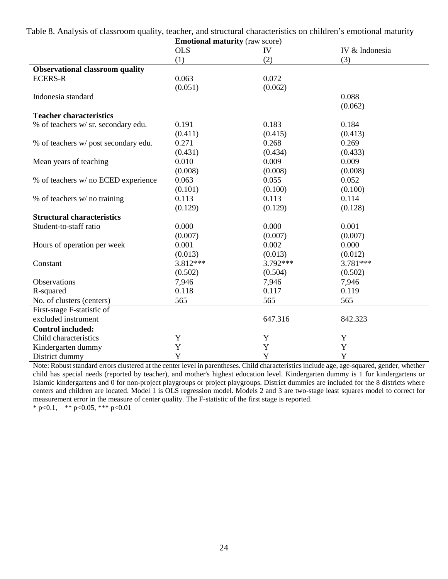Table 8. Analysis of classroom quality, teacher, and structural characteristics on children's emotional maturity **Emotional maturity** *(raw secre)* 

|                                        | <b>Emotional maturity</b> (raw score) |          |                |
|----------------------------------------|---------------------------------------|----------|----------------|
|                                        | <b>OLS</b>                            | IV       | IV & Indonesia |
|                                        | (1)                                   | (2)      | (3)            |
| <b>Observational classroom quality</b> |                                       |          |                |
| <b>ECERS-R</b>                         | 0.063                                 | 0.072    |                |
|                                        | (0.051)                               | (0.062)  |                |
| Indonesia standard                     |                                       |          | 0.088          |
|                                        |                                       |          | (0.062)        |
| <b>Teacher characteristics</b>         |                                       |          |                |
| % of teachers w/ sr. secondary edu.    | 0.191                                 | 0.183    | 0.184          |
|                                        | (0.411)                               | (0.415)  | (0.413)        |
| % of teachers w/ post secondary edu.   | 0.271                                 | 0.268    | 0.269          |
|                                        | (0.431)                               | (0.434)  | (0.433)        |
| Mean years of teaching                 | 0.010                                 | 0.009    | 0.009          |
|                                        | (0.008)                               | (0.008)  | (0.008)        |
| % of teachers w/ no ECED experience    | 0.063                                 | 0.055    | 0.052          |
|                                        | (0.101)                               | (0.100)  | (0.100)        |
| % of teachers w/ no training           | 0.113                                 | 0.113    | 0.114          |
|                                        | (0.129)                               | (0.129)  | (0.128)        |
| <b>Structural characteristics</b>      |                                       |          |                |
| Student-to-staff ratio                 | 0.000                                 | 0.000    | 0.001          |
|                                        | (0.007)                               | (0.007)  | (0.007)        |
| Hours of operation per week            | 0.001                                 | 0.002    | 0.000          |
|                                        | (0.013)                               | (0.013)  | (0.012)        |
| Constant                               | 3.812***                              | 3.792*** | 3.781***       |
|                                        | (0.502)                               | (0.504)  | (0.502)        |
| <b>Observations</b>                    | 7,946                                 | 7,946    | 7,946          |
| R-squared                              | 0.118                                 | 0.117    | 0.119          |
| No. of clusters (centers)              | 565                                   | 565      | 565            |
| First-stage F-statistic of             |                                       |          |                |
| excluded instrument                    |                                       | 647.316  | 842.323        |
| <b>Control included:</b>               |                                       |          |                |
| Child characteristics                  | Y                                     | Y        | Y              |
| Kindergarten dummy                     | Y                                     | Y        | Y              |
| District dummy                         | Y                                     | Y        | Y              |

Note: Robust standard errors clustered at the center level in parentheses. Child characteristics include age, age-squared, gender, whether child has special needs (reported by teacher), and mother's highest education level. Kindergarten dummy is 1 for kindergartens or Islamic kindergartens and 0 for non-project playgroups or project playgroups. District dummies are included for the 8 districts where centers and children are located. Model 1 is OLS regression model. Models 2 and 3 are two-stage least squares model to correct for measurement error in the measure of center quality. The F-statistic of the first stage is reported.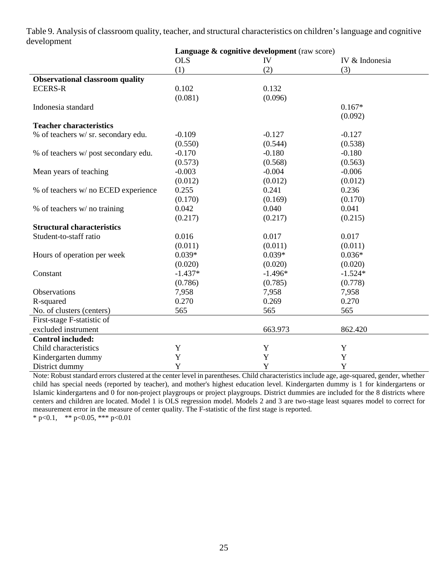|                                        |            | Language & cognitive development (raw score) |                |  |
|----------------------------------------|------------|----------------------------------------------|----------------|--|
|                                        | <b>OLS</b> | IV                                           | IV & Indonesia |  |
|                                        | (1)        | (2)                                          | (3)            |  |
| <b>Observational classroom quality</b> |            |                                              |                |  |
| <b>ECERS-R</b>                         | 0.102      | 0.132                                        |                |  |
|                                        | (0.081)    | (0.096)                                      |                |  |
| Indonesia standard                     |            |                                              | $0.167*$       |  |
|                                        |            |                                              | (0.092)        |  |
| <b>Teacher characteristics</b>         |            |                                              |                |  |
| % of teachers w/ sr. secondary edu.    | $-0.109$   | $-0.127$                                     | $-0.127$       |  |
|                                        | (0.550)    | (0.544)                                      | (0.538)        |  |
| % of teachers w/ post secondary edu.   | $-0.170$   | $-0.180$                                     | $-0.180$       |  |
|                                        | (0.573)    | (0.568)                                      | (0.563)        |  |
| Mean years of teaching                 | $-0.003$   | $-0.004$                                     | $-0.006$       |  |
|                                        | (0.012)    | (0.012)                                      | (0.012)        |  |
| % of teachers w/ no ECED experience    | 0.255      | 0.241                                        | 0.236          |  |
|                                        | (0.170)    | (0.169)                                      | (0.170)        |  |
| % of teachers w/ no training           | 0.042      | 0.040                                        | 0.041          |  |
|                                        | (0.217)    | (0.217)                                      | (0.215)        |  |
| <b>Structural characteristics</b>      |            |                                              |                |  |
| Student-to-staff ratio                 | 0.016      | 0.017                                        | 0.017          |  |
|                                        | (0.011)    | (0.011)                                      | (0.011)        |  |
| Hours of operation per week            | $0.039*$   | $0.039*$                                     | $0.036*$       |  |
|                                        | (0.020)    | (0.020)                                      | (0.020)        |  |
| Constant                               | $-1.437*$  | $-1.496*$                                    | $-1.524*$      |  |
|                                        | (0.786)    | (0.785)                                      | (0.778)        |  |
| Observations                           | 7,958      | 7,958                                        | 7,958          |  |
| R-squared                              | 0.270      | 0.269                                        | 0.270          |  |
| No. of clusters (centers)              | 565        | 565                                          | 565            |  |
| First-stage F-statistic of             |            |                                              |                |  |
| excluded instrument                    |            | 663.973                                      | 862.420        |  |
| <b>Control included:</b>               |            |                                              |                |  |
| Child characteristics                  | Y          | Y                                            | Y              |  |
| Kindergarten dummy                     | Y          | Y                                            | Y              |  |
| District dummy                         | Y          | $\mathbf Y$                                  | Y              |  |

Table 9. Analysis of classroom quality, teacher, and structural characteristics on children's language and cognitive development

Note: Robust standard errors clustered at the center level in parentheses. Child characteristics include age, age-squared, gender, whether child has special needs (reported by teacher), and mother's highest education level. Kindergarten dummy is 1 for kindergartens or Islamic kindergartens and 0 for non-project playgroups or project playgroups. District dummies are included for the 8 districts where centers and children are located. Model 1 is OLS regression model. Models 2 and 3 are two-stage least squares model to correct for measurement error in the measure of center quality. The F-statistic of the first stage is reported.